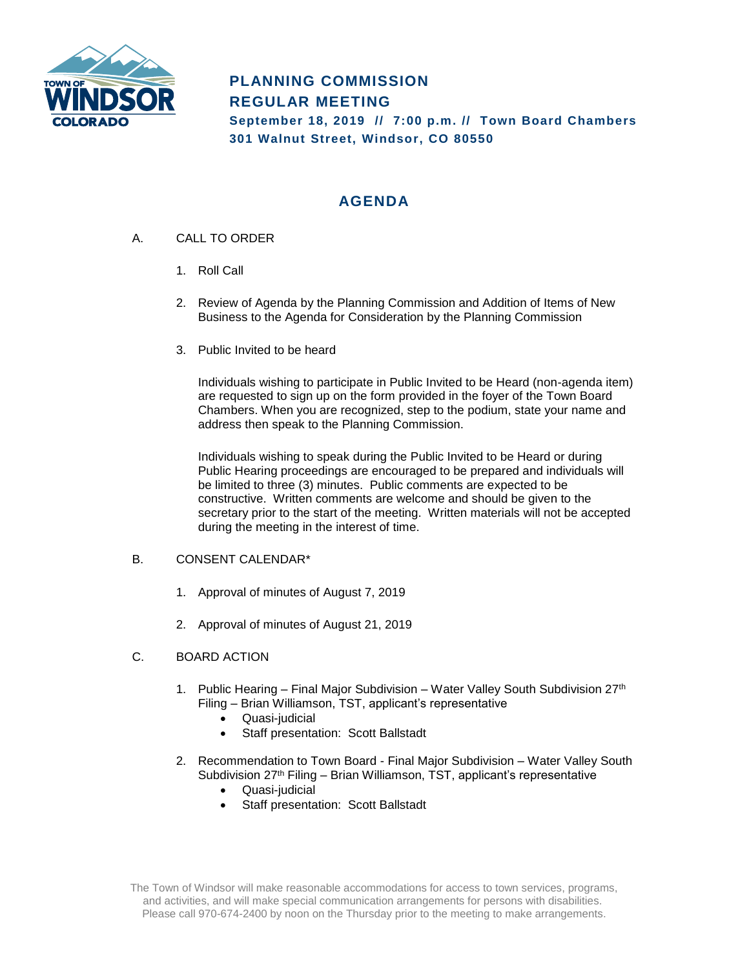

# **PLANNING COMMISSION REGULAR MEETING**

**September 18, 2019 // 7:00 p.m. // Town Board Chambers 301 Walnut Street, Windsor, CO 80550**

# **AGENDA**

- A. CALL TO ORDER
	- 1. Roll Call
	- 2. Review of Agenda by the Planning Commission and Addition of Items of New Business to the Agenda for Consideration by the Planning Commission
	- 3. Public Invited to be heard

Individuals wishing to participate in Public Invited to be Heard (non-agenda item) are requested to sign up on the form provided in the foyer of the Town Board Chambers. When you are recognized, step to the podium, state your name and address then speak to the Planning Commission.

Individuals wishing to speak during the Public Invited to be Heard or during Public Hearing proceedings are encouraged to be prepared and individuals will be limited to three (3) minutes. Public comments are expected to be constructive. Written comments are welcome and should be given to the secretary prior to the start of the meeting. Written materials will not be accepted during the meeting in the interest of time.

## B. CONSENT CALENDAR\*

- 1. Approval of minutes of August 7, 2019
- 2. Approval of minutes of August 21, 2019

## C. BOARD ACTION

- 1. Public Hearing Final Major Subdivision Water Valley South Subdivision 27th Filing – Brian Williamson, TST, applicant's representative
	- Quasi-judicial
	- Staff presentation: Scott Ballstadt
- 2. Recommendation to Town Board Final Major Subdivision Water Valley South Subdivision 27<sup>th</sup> Filing – Brian Williamson, TST, applicant's representative
	- Quasi-judicial
	- Staff presentation: Scott Ballstadt

The Town of Windsor will make reasonable accommodations for access to town services, programs, and activities, and will make special communication arrangements for persons with disabilities. Please call 970-674-2400 by noon on the Thursday prior to the meeting to make arrangements.